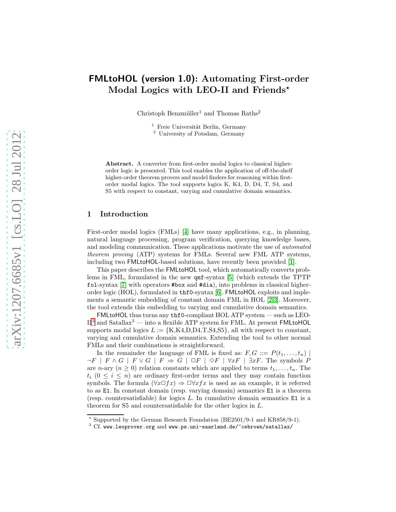# FMLtoHOL (version 1.0): Automating First-order Modal Logics with LEO-II and Friends\*

Christoph Benzmüller<sup>1</sup> and Thomas Raths<sup>2</sup>

 $<sup>1</sup>$  Freie Universität Berlin, Germany</sup>

<sup>2</sup> University of Potsdam, Germany

Abstract. A converter from first-order modal logics to classical higherorder logic is presented. This tool enables the application of off-the-shelf higher-order theorem provers and model finders for reasoning within firstorder modal logics. The tool supports logics K, K4, D, D4, T, S4, and S5 with respect to constant, varying and cumulative domain semantics.

# 1 Introduction

First-order modal logics (FMLs) [\[4\]](#page-3-0) have many applications, e.g., in planning, natural language processing, program verification, querying knowledge bases, and modeling communication. These applications motivate the use of *automated* theorem proving (ATP) systems for FMLs. Several new FML ATP systems, including two FMLtoHOL-based solutions, have recently been provided [\[1\]](#page-3-1).

This paper describes the FMLtoHOL tool, which automatically converts problems in FML, formulated in the new qmf-syntax [\[5\]](#page-3-2) (which extends the TPTP fol-syntax [\[7\]](#page-3-3) with operators #box and #dia), into problems in classical higherorder logic (HOL), formulated in thf0-syntax [\[6\]](#page-3-4). FMLtoHOL exploits and implements a semantic embedding of constant domain FML in HOL [\[2](#page-3-5)[,3\]](#page-3-6). Moreover, the tool extends this embedding to varying and cumulative domain semantics.

FMLtoHOL thus turns any thf0-compliant HOL ATP system — such as LEO- $II^3$  $II^3$  and Satallax<sup>3</sup> — into a flexible ATP system for FML. At present **FMLtoHOL** supports modal logics  $L := \{K, K4, D, D4, T, S4, S5\}$ , all with respect to constant, varying and cumulative domain semantics. Extending the tool to other normal FMLs and their combinations is straightforward.

In the remainder the language of FML is fixed as:  $F, G ::= P(t_1, \ldots, t_n)$  $\neg F \mid F \wedge G \mid F \vee G \mid F \Rightarrow G \mid \Box F \mid \Diamond F \mid \forall x F \mid \exists x F$ . The symbols P are n-ary  $(n \geq 0)$  relation constants which are applied to terms  $t_1, \ldots, t_n$ . The  $t_i$   $(0 \leq i \leq n)$  are ordinary first-order terms and they may contain function symbols. The formula  $(\forall x \Box fx) \Rightarrow \Box \forall x fx$  is used as an example, it is referred to as E1. In constant domain (resp. varying domain) semantics E1 is a theorem (resp. countersatisfiable) for logics  $L$ . In cumulative domain semantics  $E1$  is a theorem for S5 and countersatisfiable for the other logics in L.

<sup>⋆</sup> Supported by the German Research Foundation (BE2501/9-1 and KR858/9-1).

<span id="page-0-0"></span> $3$  Cf. www.leoprover.org and www.ps.uni-saarland.de/~cebrown/satallax/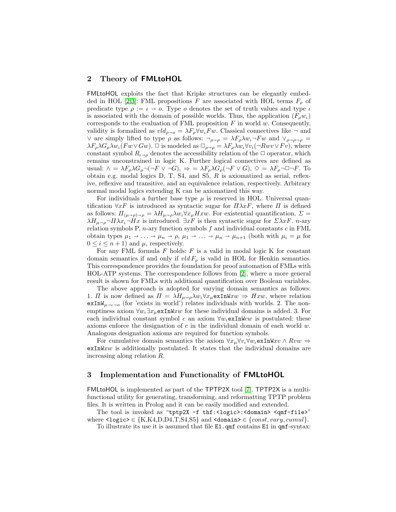## 2 Theory of FMLtoHOL

FMLtoHOL exploits the fact that Kripke structures can be elegantly embed-ded in HOL [\[2,](#page-3-5)[3\]](#page-3-6): FML propositions F are associated with HOL terms  $F_{\rho}$  of predicate type  $\rho := \iota \to o$ . Type o denotes the set of truth values and type  $\iota$ is associated with the domain of possible worlds. Thus, the application  $(F_{\rho}w_{\iota})$ corresponds to the evaluation of FML proposition  $F$  in world  $w$ . Consequently, validity is formalized as  $vld_{\rho\to o} = \lambda F_{\rho} \forall w_{\iota} F w$ . Classical connectives like  $\neg$  and ∨ are simply lifted to type *ρ* as follows:  $\neg_{\rho \to \rho} = \lambda F_{\rho} \lambda w_{\nu} \neg F w$  and  $\vee_{\rho \to \rho \to \rho}$  $\lambda F_{\rho} \lambda G_{\rho} \lambda w_{\iota} (F w \vee G w)$ .  $\Box$  is modeled as  $\Box_{\rho \to \rho} = \lambda F_{\rho} \lambda w_{\iota} \forall v_{\iota} (\neg R w v \vee F v)$ , where constant symbol  $R_{\iota \to \rho}$  denotes the accessibility relation of the  $\Box$  operator, which remains unconstrained in logic K. Further logical connectives are defined as usual:  $\wedge = \lambda F_\rho \lambda G_\rho \neg (\neg F \vee \neg G), \Rightarrow = \lambda F_\rho \lambda G_\rho (\neg F \vee G), \diamondsuit = \lambda F_\rho \neg \Box \neg F.$  To obtain e.g. modal logics D, T, S4, and S5,  $R$  is axiomatized as serial, reflexive, reflexive and transitive, and an equivalence relation, respectively. Arbitrary normal modal logics extending K can be axiomatized this way.

For individuals a further base type  $\mu$  is reserved in HOL. Universal quantification  $\forall x F$  is introduced as syntactic sugar for  $\Pi \lambda x F$ , where  $\Pi$  is defined as follows:  $\Pi_{(\mu \to \rho) \to \rho} = \lambda H_{\mu \to \rho} \lambda w_{\nu} \forall x_{\mu} H x w$ . For existential quantification,  $\Sigma =$  $\lambda H_{\mu\rightarrow\rho}\neg\overline{\Pi}\lambda x_{\nu}\neg\overline{H}x$  is introduced.  $\exists xF$  is then syntactic sugar for  $\Sigma\lambda xF$ . *n*-ary relation symbols P,  $n$ -ary function symbols  $f$  and individual constants  $c$  in FML obtain types  $\mu_1 \to \ldots \to \mu_n \to \rho$ ,  $\mu_1 \to \ldots \to \mu_n \to \mu_{n+1}$  (both with  $\mu_i = \mu$  for  $0 \leq i \leq n+1$ ) and  $\mu$ , respectively.

For any FML formula  $F$  holds:  $F$  is a valid in modal logic K for constant domain semantics if and only if  $vld F_{\rho}$  is valid in HOL for Henkin semantics. This correspondence provides the foundation for proof automation of FMLs with HOL-ATP systems. The correspondence follows from [\[2\]](#page-3-5), where a more general result is shown for FMLs with additional quantification over Boolean variables.

The above approach is adopted for varying domain semantics as follows: 1. *Π* is now defined as  $\Pi = \lambda H_{\mu \to \rho} \lambda w_{\nu} \forall x_{\mu}$ exInW $xw \Rightarrow Hxw$ , where relation  $\text{exInW}_{\mu\rightarrow\mu\rightarrow\rho}$  (for 'exists in world') relates individuals with worlds. 2. The nonemptiness axiom  $\forall w_t \exists x_\mu$ exInWxw for these individual domains is added. 3. For each individual constant symbol c an axiom  $\forall w_i$ exInWcw is postulated; these axioms enforce the designation of c in the individual domain of each world  $w$ . Analogous designation axioms are required for function symbols.

For cumulative domain semantics the axiom  $\forall x_{\mu} \forall v_{\nu} \forall w_{\nu} \in \mathbb{R}$  Thware  $\land$  Rvw exInWxw is additionally postulated. It states that the individual domains are increasing along relation R.

# 3 Implementation and Functionality of FMLtoHOL

FMLtoHOL is implemented as part of the TPTP2X tool [\[7\]](#page-3-3). TPTP2X is a multifunctional utility for generating, transforming, and reformatting TPTP problem files. It is written in Prolog and it can be easily modified and extended.

The tool is invoked as "tptp2X -f thf:<logic>:<domain> <qmf-file>" where  $\langle \text{logic} \rangle \in \{K, K4, D, D4, T, S4, S5\}$  and  $\langle \text{domain} \rangle \in \{const, vary, cumul\}.$ 

To illustrate its use it is assumed that file E1.qmf contains E1 in qmf-syntax: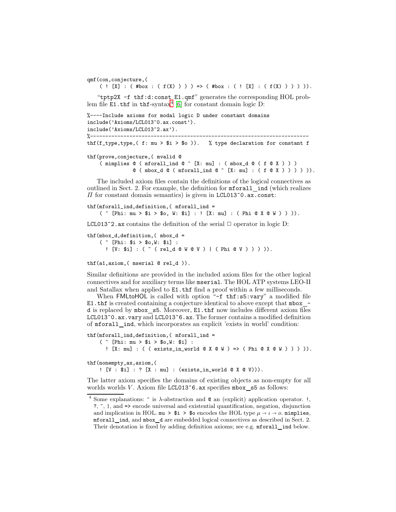qmf(con,conjecture,(  $( \; ! \; [X] : ( # box : ( f(X) ) ) ) => ( # box : ( ! [X] : ( f(X) ) ) ) ).$ 

"tptp2X -f thf:d:const E1.qmf" generates the corresponding HOL problem file  $E1$ .thf in thf-syntax<sup>[4](#page-2-0)</sup> [\[6\]](#page-3-4) for constant domain logic D:

```
%----Include axioms for modal logic D under constant domains
include('Axioms/LCL013^0.ax.const').
include('Axioms/LCL013^2.ax').
%------------------------------------------------------------------------
thf(f_type,type,( f: mu > i > i > o)). % type declaration for constant f
thf(prove,conjecture,( mvalid @
    ( mimplies @ ( mforall_ind @ ^ [X: mu] : ( mbox_d @ ( f @ X ) ) )
              @(mbox_d @ (mforall_id @ ^[X: mu] : (f @ X )) ))).
```
The included axiom files contain the definitions of the logical connectives as outlined in Sect. 2. For example, the definition for  $m$ forall\_ind (which realizes  $\Pi$  for constant domain semantics) is given in LCL013<sup> $\degree$ 0.ax.const:</sup>

```
thf(mforall_ind,definition,( mforall_ind =
    ( ^ [Phi: mu > $i > $o, W: $i] : ! [X: mu] : ( Phi @ X @ W ) ) )).
```
LCL013<sup> $\textdegree$ </sup>2.ax contains the definition of the serial  $\Box$  operator in logic D:

```
thf(mbox_d,definition,( mbox_d =
    ( ^ [Phi: $i > $o,W: $i] :
      ! [V: $i] : ( ~ ( rel_d @ W @ V ) | ( Phi @ V ) ) ) )).
```

```
thf(a1,axiom,( mserial @ rel_d )).
```
Similar definitions are provided in the included axiom files for the other logical connectives and for auxiliary terms like mserial. The HOL ATP systems LEO-II and Satallax when applied to E1.thf find a proof within a few milliseconds.

When  $FMLtoHOL$  is called with option "-f  $thf:s5:vary$ " a modified file E1.thet is created containing a conjecture identical to above except that mbox d is replaced by mbox s5. Moreover, E1.thf now includes different axiom files LCL013<sup>^</sup>0.ax.vary and LCL013<sup>^6</sup>.ax. The former contains a modified definition of mforall ind, which incorporates an explicit 'exists in world' condition:

```
thf(mforall_ind,definition,( mforall_ind =
    ( ^ [Phi: mu > $i > $o,W: $i] :
     ! [X: mu] : ( ( exists_in_world @ X @ W ) => ( Phi @ X @ W ) ) ) )).
thf(nonempty_ax,axiom,(
```
! [V : \$i] : ? [X : mu] : (exists\_in\_world @ X @ V))).

The latter axiom specifies the domains of existing objects as non-empty for all worlds worlds  $V$ . Axiom file LCL013<sup> $\textdegree$ </sup>6.ax specifies mbox  $\textdegree$  s5 as follows:

<span id="page-2-0"></span><sup>&</sup>lt;sup>4</sup> Some explanations:  $\hat{ }$  is  $\lambda$ -abstraction and  $\hat{ }$  an (explicit) application operator. 1, ?, ~, |, and => encode universal and existential quantification, negation, disjunction and implication in HOL. mu >  $i >$   $i >$  so encodes the HOL type  $\mu \rightarrow \iota \rightarrow o$ . mimplies, mforall ind, and mbox d are embedded logical connectives as described in Sect. 2. Their denotation is fixed by adding definition axioms; see e.g. mforall ind below.